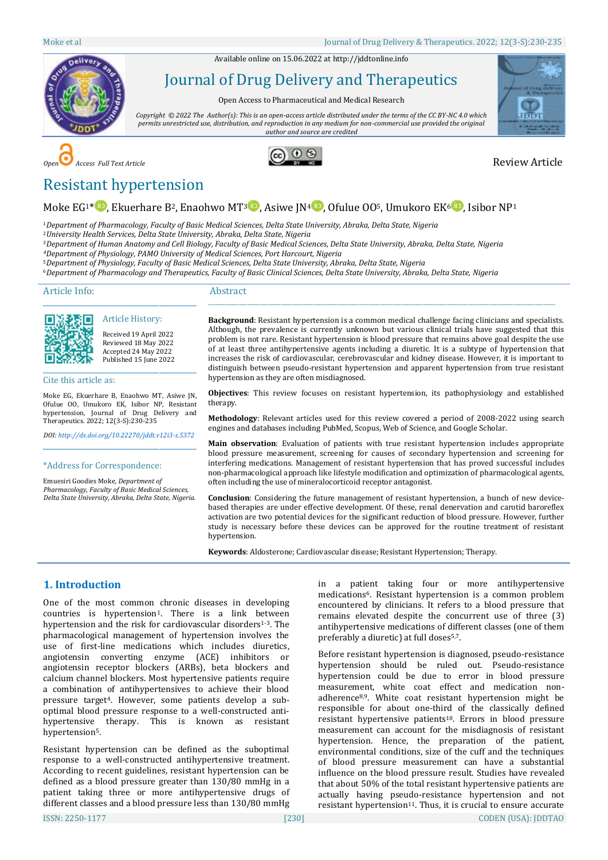Available online on 15.06.2022 a[t http://jddtonline.info](http://jddtonline.info/)



Journal of Drug Delivery and Therapeutics

Open Access to Pharmaceutical and Medical Research

*Copyright © 2022 The Author(s): This is an open-access article distributed under the terms of the CC BY-NC 4.0 which permits unrestricted use, distribution, and reproduction in any medium for non-commercial use provided the original author and source are credited*









# Resistant hypertension

# Moke EG<sup>1\*</sup> [,](http://orcid.org/0000-0001-5762-7611) Ekuerhare B<sup>2</sup>, Enaohwo MT<sup>[3](http://orcid.org/0000-0002-9402-5262)</sup> , Asiwe JN<sup>4</sup> , Ofulue 00<sup>5</sup>, Umukoro EK<sup>6</sup> , Isibor NP<sup>1</sup>

<sup>1</sup>*Department of Pharmacology, Faculty of Basic Medical Sciences, Delta State University, Abraka, Delta State, Nigeria*

<sup>2</sup>*University Health Services, Delta State University, Abraka, Delta State, Nigeria*

<sup>3</sup>*Department of Human Anatomy and Cell Biology, Faculty of Basic Medical Sciences, Delta State University, Abraka, Delta State, Nigeria*

*<sup>4</sup>Department of Physiology, PAMO University of Medical Sciences, Port Harcourt, Nigeria*

<sup>5</sup>*Department of Physiology, Faculty of Basic Medical Sciences, Delta State University, Abraka, Delta State, Nigeria*

<sup>6</sup>*Department of Pharmacology and Therapeutics, Faculty of Basic Clinical Sciences, Delta State University, Abraka, Delta State, Nigeria*

Article Info:

# Abstract



Article History: Received 19 April 2022

\_\_\_\_\_\_\_\_\_\_\_\_\_\_\_\_\_\_\_\_\_\_\_\_\_\_\_\_\_\_\_\_\_\_\_\_\_\_\_\_\_\_\_\_\_

Reviewed 18 May 2022 Accepted 24 May 2022 Published 15 June 2022 \_\_\_\_\_\_\_\_\_\_\_\_\_\_\_\_\_\_\_\_\_\_\_\_\_\_\_\_\_\_\_\_\_\_\_\_\_\_\_\_\_\_\_\_\_

Cite this article as:

Moke EG, Ekuerhare B, Enaohwo MT, Asiwe JN, Ofulue OO, Umukoro EK, Isibor NP, Resistant hypertension, Journal of Drug Delivery and Therapeutics. 2022; 12(3-S):230-235

*DOI[: http://dx.doi.org/10.22270/jddt.v12i3-s.5372](http://dx.doi.org/10.22270/jddt.v12i3-s.5372)*  \_\_\_\_\_\_\_\_\_\_\_\_\_\_\_\_\_\_\_\_\_\_\_\_\_\_\_\_\_\_\_\_\_\_\_\_\_\_\_\_\_\_\_\_\_

#### \*Address for Correspondence:

Emuesiri Goodies Moke*, Department of Pharmacology, Faculty of Basic Medical Sciences, Delta State University, Abraka, Delta State, Nigeria.*

**Background**: Resistant hypertension is a common medical challenge facing clinicians and specialists. Although, the prevalence is currently unknown but various clinical trials have suggested that this problem is not rare. Resistant hypertension is blood pressure that remains above goal despite the use of at least three antihypertensive agents including a diuretic. It is a subtype of hypertension that increases the risk of cardiovascular, cerebrovascular and kidney disease. However, it is important to distinguish between pseudo-resistant hypertension and apparent hypertension from true resistant hypertension as they are often misdiagnosed.

\_\_\_\_\_\_\_\_\_\_\_\_\_\_\_\_\_\_\_\_\_\_\_\_\_\_\_\_\_\_\_\_\_\_\_\_\_\_\_\_\_\_\_\_\_\_\_\_\_\_\_\_\_\_\_\_\_\_\_\_\_\_\_\_\_\_\_\_\_\_\_\_\_\_\_\_\_\_\_\_\_\_\_\_\_\_\_\_\_\_\_\_\_\_\_\_\_\_\_\_\_\_\_\_\_\_\_\_\_\_\_\_\_\_\_

**Objectives**: This review focuses on resistant hypertension, its pathophysiology and established therapy.

**Methodology**: Relevant articles used for this review covered a period of 2008-2022 using search engines and databases including PubMed, Scopus, Web of Science, and Google Scholar.

**Main observation**: Evaluation of patients with true resistant hypertension includes appropriate blood pressure measurement, screening for causes of secondary hypertension and screening for interfering medications. Management of resistant hypertension that has proved successful includes non-pharmacological approach like lifestyle modification and optimization of pharmacological agents, often including the use of mineralocorticoid receptor antagonist.

**Conclusion**: Considering the future management of resistant hypertension, a bunch of new devicebased therapies are under effective development. Of these, renal denervation and carotid baroreflex activation are two potential devices for the significant reduction of blood pressure. However, further study is necessary before these devices can be approved for the routine treatment of resistant hypertension.

**Keywords**: Aldosterone; Cardiovascular disease; Resistant Hypertension; Therapy.

# **1. Introduction**

One of the most common chronic diseases in developing countries is hypertension<sup>1</sup>. There is a link between hypertension and the risk for cardiovascular disorders<sup>1-3</sup>. The pharmacological management of hypertension involves the use of first-line medications which includes diuretics, angiotensin converting enzyme (ACE) inhibitors or angiotensin receptor blockers (ARBs), beta blockers and calcium channel blockers. Most hypertensive patients require a combination of antihypertensives to achieve their blood pressure target4. However, some patients develop a suboptimal blood pressure response to a well-constructed antihypertensive therapy. This is known as resistant hypertension<sup>5</sup>.

Resistant hypertension can be defined as the suboptimal response to a well-constructed antihypertensive treatment. According to recent guidelines, resistant hypertension can be defined as a blood pressure greater than 130/80 mmHg in a patient taking three or more antihypertensive drugs of different classes and a blood pressure less than 130/80 mmHg in a patient taking four or more antihypertensive medications6. Resistant hypertension is a common problem encountered by clinicians. It refers to a blood pressure that remains elevated despite the concurrent use of three (3) antihypertensive medications of different classes (one of them preferably a diuretic) at full doses<sup>5,7</sup>.

Before resistant hypertension is diagnosed, pseudo-resistance hypertension should be ruled out. Pseudo-resistance hypertension could be due to error in blood pressure measurement, white coat effect and medication nonadherence8,9. White coat resistant hypertension might be responsible for about one-third of the classically defined resistant hypertensive patients10. Errors in blood pressure measurement can account for the misdiagnosis of resistant hypertension. Hence, the preparation of the patient, environmental conditions, size of the cuff and the techniques of blood pressure measurement can have a substantial influence on the blood pressure result. Studies have revealed that about 50% of the total resistant hypertensive patients are actually having pseudo-resistance hypertension and not resistant hypertension<sup>11</sup>. Thus, it is crucial to ensure accurate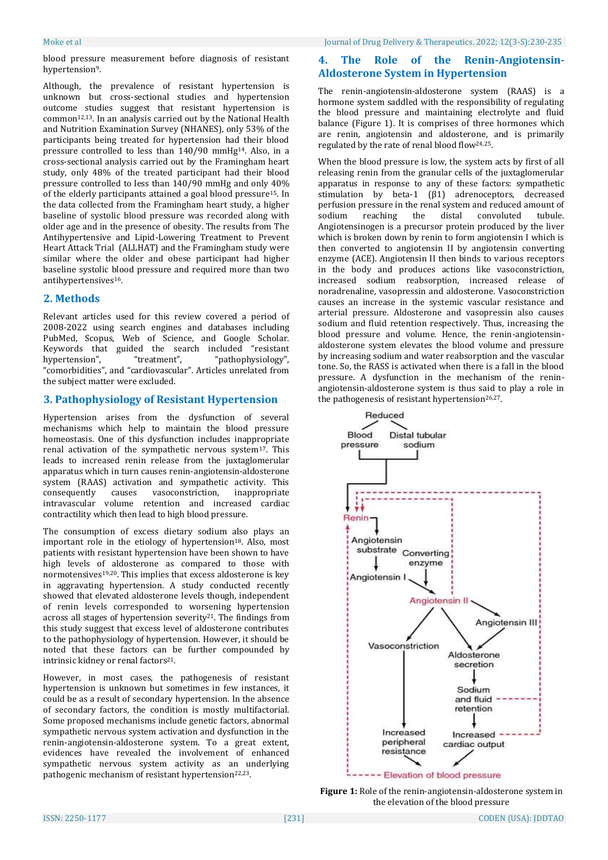blood pressure measurement before diagnosis of resistant hypertension<sup>9</sup>.

Although, the prevalence of resistant hypertension is unknown but cross-sectional studies and hypertension outcome studies suggest that resistant hypertension is common<sup>12,13</sup>. In an analysis carried out by the National Health and Nutrition Examination Survey (NHANES), only 53% of the participants being treated for hypertension had their blood pressure controlled to less than 140/90 mmHg14. Also, in a cross-sectional analysis carried out by the Framingham heart study, only 48% of the treated participant had their blood pressure controlled to less than 140/90 mmHg and only 40% of the elderly participants attained a goal blood pressure15. In the data collected from the Framingham heart study, a higher baseline of systolic blood pressure was recorded along with older age and in the presence of obesity. The results from The Antihypertensive and Lipid-Lowering Treatment to Prevent Heart Attack Trial (ALLHAT) and the Framingham study were similar where the older and obese participant had higher baseline systolic blood pressure and required more than two antihypertensives16.

# **2. Methods**

Relevant articles used for this review covered a period of 2008-2022 using search engines and databases including PubMed, Scopus, Web of Science, and Google Scholar. Keywords that guided the search included "resistant hypertension", "treatment", "pathophysiology", "comorbidities", and "cardiovascular". Articles unrelated from the subject matter were excluded.

# **3. Pathophysiology of Resistant Hypertension**

Hypertension arises from the dysfunction of several mechanisms which help to maintain the blood pressure homeostasis. One of this dysfunction includes inappropriate renal activation of the sympathetic nervous system<sup>17</sup>. This leads to increased renin release from the juxtaglomerular apparatus which in turn causes renin-angiotensin-aldosterone system (RAAS) activation and sympathetic activity. This consequently causes vasoconstriction, inappropriate intravascular volume retention and increased cardiac contractility which then lead to high blood pressure.

The consumption of excess dietary sodium also plays an important role in the etiology of hypertension $18$ . Also, most patients with resistant hypertension have been shown to have high levels of aldosterone as compared to those with normotensives19,20. This implies that excess aldosterone is key in aggravating hypertension. A study conducted recently showed that elevated aldosterone levels though, independent of renin levels corresponded to worsening hypertension across all stages of hypertension severity<sup>21</sup>. The findings from this study suggest that excess level of aldosterone contributes to the pathophysiology of hypertension. However, it should be noted that these factors can be further compounded by intrinsic kidney or renal factors<sup>21</sup>.

However, in most cases, the pathogenesis of resistant hypertension is unknown but sometimes in few instances, it could be as a result of secondary hypertension. In the absence of secondary factors, the condition is mostly multifactorial. Some proposed mechanisms include genetic factors, abnormal sympathetic nervous system activation and dysfunction in the renin-angiotensin-aldosterone system. To a great extent, evidences have revealed the involvement of enhanced sympathetic nervous system activity as an underlying pathogenic mechanism of resistant hypertension<sup>22,23</sup>.

# **4. The Role of the Renin-Angiotensin-Aldosterone System in Hypertension**

The renin-angiotensin-aldosterone system (RAAS) is a hormone system saddled with the responsibility of regulating the blood pressure and maintaining electrolyte and fluid balance (Figure 1). It is comprises of three hormones which are renin, angiotensin and aldosterone, and is primarily regulated by the rate of renal blood flow24,25.

When the blood pressure is low, the system acts by first of all releasing renin from the granular cells of the juxtaglomerular apparatus in response to any of these factors: sympathetic stimulation by beta-1 (β1) adrenoceptors, decreased perfusion pressure in the renal system and reduced amount of sodium reaching the distal convoluted tubule. Angiotensinogen is a precursor protein produced by the liver which is broken down by renin to form angiotensin I which is then converted to angiotensin II by angiotensin converting enzyme (ACE). Angiotensin II then binds to various receptors in the body and produces actions like vasoconstriction, increased sodium reabsorption, increased release of noradrenaline, vasopressin and aldosterone. Vasoconstriction causes an increase in the systemic vascular resistance and arterial pressure. Aldosterone and vasopressin also causes sodium and fluid retention respectively. Thus, increasing the blood pressure and volume. Hence, the renin-angiotensinaldosterone system elevates the blood volume and pressure by increasing sodium and water reabsorption and the vascular tone. So, the RASS is activated when there is a fall in the blood pressure. A dysfunction in the mechanism of the reninangiotensin-aldosterone system is thus said to play a role in the pathogenesis of resistant hypertension<sup>26,27</sup>.



**Figure 1:** Role of the renin-angiotensin-aldosterone system in the elevation of the blood pressure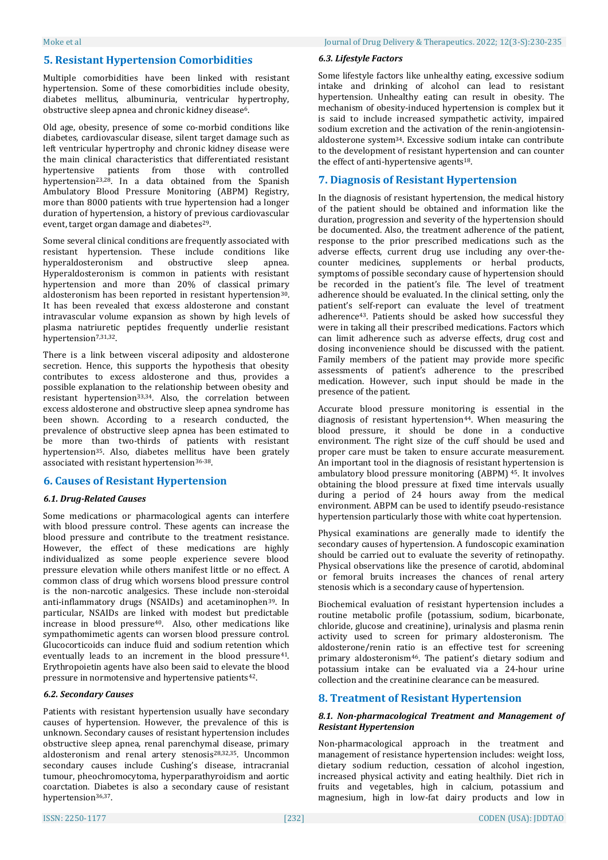# **5. Resistant Hypertension Comorbidities**

Multiple comorbidities have been linked with resistant hypertension. Some of these comorbidities include obesity, diabetes mellitus, albuminuria, ventricular hypertrophy, obstructive sleep apnea and chronic kidney disease<sup>6</sup>.

Old age, obesity, presence of some co-morbid conditions like diabetes, cardiovascular disease, silent target damage such as left ventricular hypertrophy and chronic kidney disease were the main clinical characteristics that differentiated resistant hypertensive patients from those with controlled hypertension<sup>23,28</sup>. In a data obtained from the Spanish Ambulatory Blood Pressure Monitoring (ABPM) Registry, more than 8000 patients with true hypertension had a longer duration of hypertension, a history of previous cardiovascular event, target organ damage and diabetes<sup>29</sup>.

Some several clinical conditions are frequently associated with resistant hypertension. These include conditions like hyperaldosteronism and obstructive sleep apnea. Hyperaldosteronism is common in patients with resistant hypertension and more than 20% of classical primary aldosteronism has been reported in resistant hypertension<sup>30</sup>. It has been revealed that excess aldosterone and constant intravascular volume expansion as shown by high levels of plasma natriuretic peptides frequently underlie resistant hypertension<sup>7,31,32</sup>.

There is a link between visceral adiposity and aldosterone secretion. Hence, this supports the hypothesis that obesity contributes to excess aldosterone and thus, provides a possible explanation to the relationship between obesity and resistant hypertension33,34. Also, the correlation between excess aldosterone and obstructive sleep apnea syndrome has been shown. According to a research conducted, the prevalence of obstructive sleep apnea has been estimated to be more than two-thirds of patients with resistant hypertension35. Also, diabetes mellitus have been grately associated with resistant hypertension36-38.

# **6. Causes of Resistant Hypertension**

# *6.1. Drug-Related Causes*

Some medications or pharmacological agents can interfere with blood pressure control. These agents can increase the blood pressure and contribute to the treatment resistance. However, the effect of these medications are highly individualized as some people experience severe blood pressure elevation while others manifest little or no effect. A common class of drug which worsens blood pressure control is the non-narcotic analgesics. These include non-steroidal anti-inflammatory drugs (NSAIDs) and acetaminophen39. In particular, NSAIDs are linked with modest but predictable increase in blood pressure40. Also, other medications like sympathomimetic agents can worsen blood pressure control. Glucocorticoids can induce fluid and sodium retention which eventually leads to an increment in the blood pressure<sup>41</sup>. Erythropoietin agents have also been said to elevate the blood pressure in normotensive and hypertensive patients<sup>42</sup>.

# *6.2. Secondary Causes*

Patients with resistant hypertension usually have secondary causes of hypertension. However, the prevalence of this is unknown. Secondary causes of resistant hypertension includes obstructive sleep apnea, renal parenchymal disease, primary aldosteronism and renal artery stenosis28,32,35. Uncommon secondary causes include Cushing's disease, intracranial tumour, pheochromocytoma, hyperparathyroidism and aortic coarctation. Diabetes is also a secondary cause of resistant hypertension36,37.

#### *6.3. Lifestyle Factors*

Some lifestyle factors like unhealthy eating, excessive sodium intake and drinking of alcohol can lead to resistant hypertension. Unhealthy eating can result in obesity. The mechanism of obesity-induced hypertension is complex but it is said to include increased sympathetic activity, impaired sodium excretion and the activation of the renin-angiotensinaldosterone system34. Excessive sodium intake can contribute to the development of resistant hypertension and can counter the effect of anti-hypertensive agents<sup>18</sup>.

# **7. Diagnosis of Resistant Hypertension**

In the diagnosis of resistant hypertension, the medical history of the patient should be obtained and information like the duration, progression and severity of the hypertension should be documented. Also, the treatment adherence of the patient, response to the prior prescribed medications such as the adverse effects, current drug use including any over-thecounter medicines, supplements or herbal products, symptoms of possible secondary cause of hypertension should be recorded in the patient's file. The level of treatment adherence should be evaluated. In the clinical setting, only the patient's self-report can evaluate the level of treatment adherence43. Patients should be asked how successful they were in taking all their prescribed medications. Factors which can limit adherence such as adverse effects, drug cost and dosing inconvenience should be discussed with the patient. Family members of the patient may provide more specific assessments of patient's adherence to the prescribed medication. However, such input should be made in the presence of the patient.

Accurate blood pressure monitoring is essential in the diagnosis of resistant hypertension<sup>44</sup>. When measuring the blood pressure, it should be done in a conductive environment. The right size of the cuff should be used and proper care must be taken to ensure accurate measurement. An important tool in the diagnosis of resistant hypertension is ambulatory blood pressure monitoring (ABPM) <sup>45</sup>. It involves obtaining the blood pressure at fixed time intervals usually during a period of 24 hours away from the medical environment. ABPM can be used to identify pseudo-resistance hypertension particularly those with white coat hypertension.

Physical examinations are generally made to identify the secondary causes of hypertension. A fundoscopic examination should be carried out to evaluate the severity of retinopathy. Physical observations like the presence of carotid, abdominal or femoral bruits increases the chances of renal artery stenosis which is a secondary cause of hypertension.

Biochemical evaluation of resistant hypertension includes a routine metabolic profile (potassium, sodium, bicarbonate, chloride, glucose and creatinine), urinalysis and plasma renin activity used to screen for primary aldosteronism. The aldosterone/renin ratio is an effective test for screening primary aldosteronism46. The patient's dietary sodium and potassium intake can be evaluated via a 24-hour urine collection and the creatinine clearance can be measured.

# **8. Treatment of Resistant Hypertension**

#### *8.1. Non-pharmacological Treatment and Management of Resistant Hypertension*

Non-pharmacological approach in the treatment and management of resistance hypertension includes: weight loss, dietary sodium reduction, cessation of alcohol ingestion, increased physical activity and eating healthily. Diet rich in fruits and vegetables, high in calcium, potassium and magnesium, high in low-fat dairy products and low in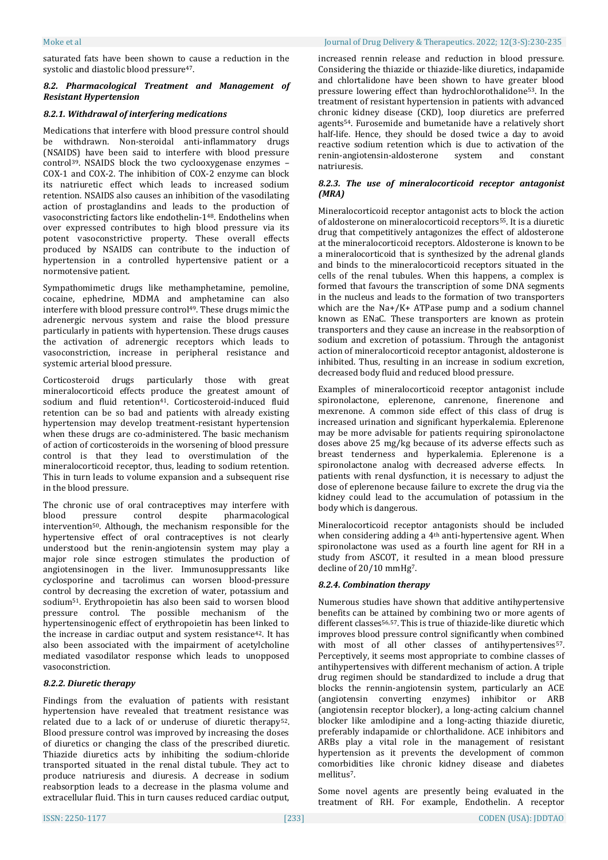saturated fats have been shown to cause a reduction in the systolic and diastolic blood pressure47.

# *8.2. Pharmacological Treatment and Management of Resistant Hypertension*

# *8.2.1. Withdrawal of interfering medications*

Medications that interfere with blood pressure control should be withdrawn. Non-steroidal anti-inflammatory drugs (NSAIDS) have been said to interfere with blood pressure control39. NSAIDS block the two cyclooxygenase enzymes – COX-1 and COX-2. The inhibition of COX-2 enzyme can block its natriuretic effect which leads to increased sodium retention. NSAIDS also causes an inhibition of the vasodilating action of prostaglandins and leads to the production of vasoconstricting factors like endothelin-148. Endothelins when over expressed contributes to high blood pressure via its potent vasoconstrictive property. These overall effects produced by NSAIDS can contribute to the induction of hypertension in a controlled hypertensive patient or a normotensive patient.

Sympathomimetic drugs like methamphetamine, pemoline, cocaine, ephedrine, MDMA and amphetamine can also interfere with blood pressure control49. These drugs mimic the adrenergic nervous system and raise the blood pressure particularly in patients with hypertension. These drugs causes the activation of adrenergic receptors which leads to vasoconstriction, increase in peripheral resistance and systemic arterial blood pressure.

Corticosteroid drugs particularly those with great mineralocorticoid effects produce the greatest amount of sodium and fluid retention<sup>41</sup>. Corticosteroid-induced fluid retention can be so bad and patients with already existing hypertension may develop treatment-resistant hypertension when these drugs are co-administered. The basic mechanism of action of corticosteroids in the worsening of blood pressure control is that they lead to overstimulation of the mineralocorticoid receptor, thus, leading to sodium retention. This in turn leads to volume expansion and a subsequent rise in the blood pressure.

The chronic use of oral contraceptives may interfere with blood pressure control despite pharmacological intervention50. Although, the mechanism responsible for the hypertensive effect of oral contraceptives is not clearly understood but the renin-angiotensin system may play a major role since estrogen stimulates the production of angiotensinogen in the liver. Immunosuppressants like cyclosporine and tacrolimus can worsen blood-pressure control by decreasing the excretion of water, potassium and sodium51. Erythropoietin has also been said to worsen blood pressure control. The possible mechanism of the hypertensinogenic effect of erythropoietin has been linked to the increase in cardiac output and system resistance<sup>42</sup>. It has also been associated with the impairment of acetylcholine mediated vasodilator response which leads to unopposed vasoconstriction.

# *8.2.2. Diuretic therapy*

Findings from the evaluation of patients with resistant hypertension have revealed that treatment resistance was related due to a lack of or underuse of diuretic therapy52. Blood pressure control was improved by increasing the doses of diuretics or changing the class of the prescribed diuretic. Thiazide diuretics acts by inhibiting the sodium-chloride transported situated in the renal distal tubule. They act to produce natriuresis and diuresis. A decrease in sodium reabsorption leads to a decrease in the plasma volume and extracellular fluid. This in turn causes reduced cardiac output,

increased rennin release and reduction in blood pressure. Considering the thiazide or thiazide-like diuretics, indapamide and chlortalidone have been shown to have greater blood pressure lowering effect than hydrochlorothalidone53. In the treatment of resistant hypertension in patients with advanced chronic kidney disease (CKD), loop diuretics are preferred agents54. Furosemide and bumetanide have a relatively short half-life. Hence, they should be dosed twice a day to avoid reactive sodium retention which is due to activation of the renin-angiotensin-aldosterone system and constant natriuresis.

# *8.2.3. The use of mineralocorticoid receptor antagonist (MRA)*

Mineralocorticoid receptor antagonist acts to block the action of aldosterone on mineralocorticoid receptors55. It is a diuretic drug that competitively antagonizes the effect of aldosterone at the mineralocorticoid receptors. Aldosterone is known to be a mineralocorticoid that is synthesized by the adrenal glands and binds to the mineralocorticoid receptors situated in the cells of the renal tubules. When this happens, a complex is formed that favours the transcription of some DNA segments in the nucleus and leads to the formation of two transporters which are the Na+/K+ ATPase pump and a sodium channel known as ENaC. These transporters are known as protein transporters and they cause an increase in the reabsorption of sodium and excretion of potassium. Through the antagonist action of mineralocorticoid receptor antagonist, aldosterone is inhibited. Thus, resulting in an increase in sodium excretion, decreased body fluid and reduced blood pressure.

Examples of mineralocorticoid receptor antagonist include spironolactone, eplerenone, canrenone, finerenone and mexrenone. A common side effect of this class of drug is increased urination and significant hyperkalemia. Eplerenone may be more advisable for patients requiring spironolactone doses above 25 mg/kg because of its adverse effects such as breast tenderness and hyperkalemia. Eplerenone is a spironolactone analog with decreased adverse effects. In patients with renal dysfunction, it is necessary to adjust the dose of eplerenone because failure to excrete the drug via the kidney could lead to the accumulation of potassium in the body which is dangerous.

Mineralocorticoid receptor antagonists should be included when considering adding a 4th anti-hypertensive agent. When spironolactone was used as a fourth line agent for RH in a study from ASCOT, it resulted in a mean blood pressure decline of 20/10 mmHg7.

# *8.2.4. Combination therapy*

Numerous studies have shown that additive antihypertensive benefits can be attained by combining two or more agents of different classes<sup>56,57</sup>. This is true of thiazide-like diuretic which improves blood pressure control significantly when combined with most of all other classes of antihypertensives<sup>57</sup>. Perceptively, it seems most appropriate to combine classes of antihypertensives with different mechanism of action. A triple drug regimen should be standardized to include a drug that blocks the rennin-angiotensin system, particularly an ACE (angiotensin converting enzymes) inhibitor or ARB (angiotensin receptor blocker), a long-acting calcium channel blocker like amlodipine and a long-acting thiazide diuretic, preferably indapamide or chlorthalidone. ACE inhibitors and ARBs play a vital role in the management of resistant hypertension as it prevents the development of common comorbidities like chronic kidney disease and diabetes mellitus7.

Some novel agents are presently being evaluated in the treatment of RH. For example, Endothelin. A receptor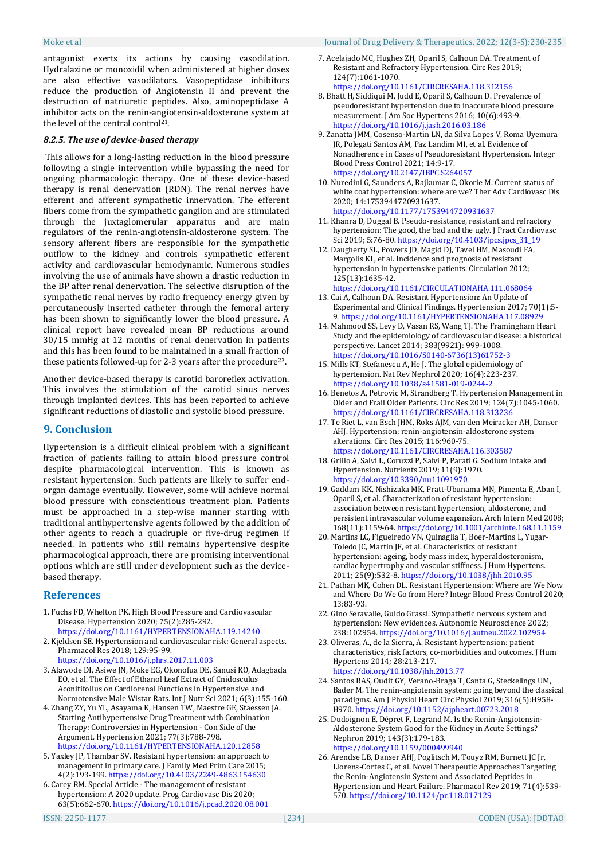antagonist exerts its actions by causing vasodilation. Hydralazine or monoxidil when administered at higher doses are also effective vasodilators. Vasopeptidase inhibitors reduce the production of Angiotensin II and prevent the destruction of natriuretic peptides. Also, aminopeptidase A inhibitor acts on the renin-angiotensin-aldosterone system at the level of the central control21.

#### *8.2.5. The use of device-based therapy*

This allows for a long-lasting reduction in the blood pressure following a single intervention while bypassing the need for ongoing pharmacologic therapy. One of these device-based therapy is renal denervation (RDN). The renal nerves have efferent and afferent sympathetic innervation. The efferent fibers come from the sympathetic ganglion and are stimulated through the juxtaglomerular apparatus and are main regulators of the renin-angiotensin-aldosterone system. The sensory afferent fibers are responsible for the sympathetic outflow to the kidney and controls sympathetic efferent activity and cardiovascular hemodynamic. Numerous studies involving the use of animals have shown a drastic reduction in the BP after renal denervation. The selective disruption of the sympathetic renal nerves by radio frequency energy given by percutaneously inserted catheter through the femoral artery has been shown to significantly lower the blood pressure. A clinical report have revealed mean BP reductions around 30/15 mmHg at 12 months of renal denervation in patients and this has been found to be maintained in a small fraction of these patients followed-up for 2-3 years after the procedure23.

Another device-based therapy is carotid baroreflex activation. This involves the stimulation of the carotid sinus nerves through implanted devices. This has been reported to achieve significant reductions of diastolic and systolic blood pressure.

# **9. Conclusion**

Hypertension is a difficult clinical problem with a significant fraction of patients failing to attain blood pressure control despite pharmacological intervention. This is known as resistant hypertension. Such patients are likely to suffer endorgan damage eventually. However, some will achieve normal blood pressure with conscientious treatment plan. Patients must be approached in a step-wise manner starting with traditional antihypertensive agents followed by the addition of other agents to reach a quadruple or five-drug regimen if needed. In patients who still remains hypertensive despite pharmacological approach, there are promising interventional options which are still under development such as the devicebased therapy.

# **References**

- 1. Fuchs FD, Whelton PK. High Blood Pressure and Cardiovascular Disease. Hypertension 2020; 75(2):285-292. <https://doi.org/10.1161/HYPERTENSIONAHA.119.14240>
- 2. Kjeldsen SE. Hypertension and cardiovascular risk: General aspects. Pharmacol Res 2018; 129:95-99.
- <https://doi.org/10.1016/j.phrs.2017.11.003> 3. Alawode DI, Asiwe JN, Moke EG, Okonofua DE, Sanusi KO, Adagbada EO, et al. The Effect of Ethanol Leaf Extract of Cnidosculus Aconitifolius on Cardiorenal Functions in Hypertensive and Normotensive Male Wistar Rats. Int J Nutr Sci 2021; 6(3):155-160.
- 4. Zhang ZY, Yu YL, Asayama K, Hansen TW, Maestre GE, Staessen JA. Starting Antihypertensive Drug Treatment with Combination Therapy: Controversies in Hypertension - Con Side of the Argument. Hypertension 2021; 77(3):788-798. <https://doi.org/10.1161/HYPERTENSIONAHA.120.12858>
- 5. Yaxley JP, Thambar SV. Resistant hypertension: an approach to management in primary care. J Family Med Prim Care 2015; 4(2):193-199[. https://doi.org/10.4103/2249-4863.154630](https://doi.org/10.4103/2249-4863.154630)
- 6. Carey RM. Special Article The management of resistant hypertension: A 2020 update. Prog Cardiovasc Dis 2020; 63(5):662-670[. https://doi.org/10.1016/j.pcad.2020.08.001](https://doi.org/10.1016/j.pcad.2020.08.001)
- 7. Acelajado MC, Hughes ZH, Oparil S, Calhoun DA. Treatment of Resistant and Refractory Hypertension. Circ Res 2019; 124(7):1061-1070. <https://doi.org/10.1161/CIRCRESAHA.118.312156>
- 8. Bhatt H, Siddiqui M, Judd E, Oparil S, Calhoun D. Prevalence of pseudoresistant hypertension due to inaccurate blood pressure measurement. J Am Soc Hypertens 2016; 10(6):493-9. <https://doi.org/10.1016/j.jash.2016.03.186>
- 9. Zanatta JMM, Cosenso-Martin LN, da Silva Lopes V, Roma Uyemura JR, Polegati Santos AM, Paz Landim MI, et al. Evidence of Nonadherence in Cases of Pseudoresistant Hypertension. Integr Blood Press Control 2021; 14:9-17. <https://doi.org/10.2147/IBPC.S264057>
- 10. Nuredini G, Saunders A, Rajkumar C, Okorie M. Current status of white coat hypertension: where are we? Ther Adv Cardiovasc Dis 2020; 14:1753944720931637. <https://doi.org/10.1177/1753944720931637>
- 11. Khanra D, Duggal B. Pseudo-resistance, resistant and refractory hypertension: The good, the bad and the ugly. J Pract Cardiovasc Sci 2019; 5:76-80[. https://doi.org/10.4103/jpcs.jpcs\\_31\\_19](https://doi.org/10.4103/jpcs.jpcs_31_19)
- 12. Daugherty SL, Powers JD, Magid DJ, Tavel HM, Masoudi FA, Margolis KL, et al. Incidence and prognosis of resistant hypertension in hypertensive patients. Circulation 2012; 125(13):1635-42.
- <https://doi.org/10.1161/CIRCULATIONAHA.111.068064> 13. Cai A, Calhoun DA. Resistant Hypertension: An Update of Experimental and Clinical Findings. Hypertension 2017; 70(1):5- 9[. https://doi.org/10.1161/HYPERTENSIONAHA.117.08929](https://doi.org/10.1161/HYPERTENSIONAHA.117.08929)
- 14. Mahmood SS, Levy D, Vasan RS, Wang TJ. The Framingham Heart Study and the epidemiology of cardiovascular disease: a historical perspective. Lancet 2014; 383(9921): 999-1008. [https://doi.org/10.1016/S0140-6736\(13\)61752-3](https://doi.org/10.1016/S0140-6736(13)61752-3)
- 15. Mills KT, Stefanescu A, He J. The global epidemiology of hypertension. Nat Rev Nephrol 2020; 16(4):223-237. <https://doi.org/10.1038/s41581-019-0244-2>
- 16. Benetos A, Petrovic M, Strandberg T. Hypertension Management in Older and Frail Older Patients. Circ Res 2019; 124(7):1045-1060. <https://doi.org/10.1161/CIRCRESAHA.118.313236>
- 17. Te Riet L, van Esch JHM, Roks AJM, van den Meiracker AH, Danser AHJ. Hypertension: renin-angiotensin-aldosterone system alterations. Circ Res 2015; 116:960-75. <https://doi.org/10.1161/CIRCRESAHA.116.303587>
- 18. Grillo A, Salvi L, Coruzzi P, Salvi P, Parati G. Sodium Intake and Hypertension. Nutrients 2019; 11(9):1970. <https://doi.org/10.3390/nu11091970>
- 19. Gaddam KK, Nishizaka MK, Pratt-Ubunama MN, Pimenta E, Aban I, Oparil S, et al. Characterization of resistant hypertension: association between resistant hypertension, aldosterone, and persistent intravascular volume expansion. Arch Intern Med 2008; 168(11):1159-64[. https://doi.org/10.1001/archinte.168.11.1159](https://doi.org/10.1001/archinte.168.11.1159)
- 20. Martins LC, Figueiredo VN, Quinaglia T, Boer-Martins L, Yugar-Toledo JC, Martin JF, et al. Characteristics of resistant hypertension: ageing, body mass index, hyperaldosteronism, cardiac hypertrophy and vascular stiffness. J Hum Hypertens. 2011; 25(9):532-8[. https://doi.org/10.1038/jhh.2010.95](https://doi.org/10.1038/jhh.2010.95)
- 21. Pathan MK, Cohen DL. Resistant Hypertension: Where are We Now and Where Do We Go from Here? Integr Blood Press Control 2020; 13:83-93.
- 22. Gino Seravalle, Guido Grassi. Sympathetic nervous system and hypertension: New evidences. Autonomic Neuroscience 2022; 238:102954[. https://doi.org/10.1016/j.autneu.2022.102954](https://doi.org/10.1016/j.autneu.2022.102954)
- 23. Oliveras, A., de la Sierra, A. Resistant hypertension: patient characteristics, risk factors, co-morbidities and outcomes. J Hum Hypertens 2014; 28:213-217. <https://doi.org/10.1038/jhh.2013.77>
- 24. Santos RAS, Oudit GY, Verano-Braga T, Canta G, Steckelings UM, Bader M. The renin-angiotensin system: going beyond the classical paradigms. Am J Physiol Heart Circ Physiol 2019; 316(5):H958- H970[. https://doi.org/10.1152/ajpheart.00723.2018](https://doi.org/10.1152/ajpheart.00723.2018)
- 25. Dudoignon E, Dépret F, Legrand M. Is the Renin-Angiotensin-Aldosterone System Good for the Kidney in Acute Settings? Nephron 2019; 143(3):179-183. <https://doi.org/10.1159/000499940>
- 26. Arendse LB, Danser AHJ, Poglitsch M, Touyz RM, Burnett JC Jr, Llorens-Cortes C, et al. Novel Therapeutic Approaches Targeting the Renin-Angiotensin System and Associated Peptides in Hypertension and Heart Failure. Pharmacol Rev 2019; 71(4):539- 570[. https://doi.org/10.1124/pr.118.017129](https://doi.org/10.1124/pr.118.017129)